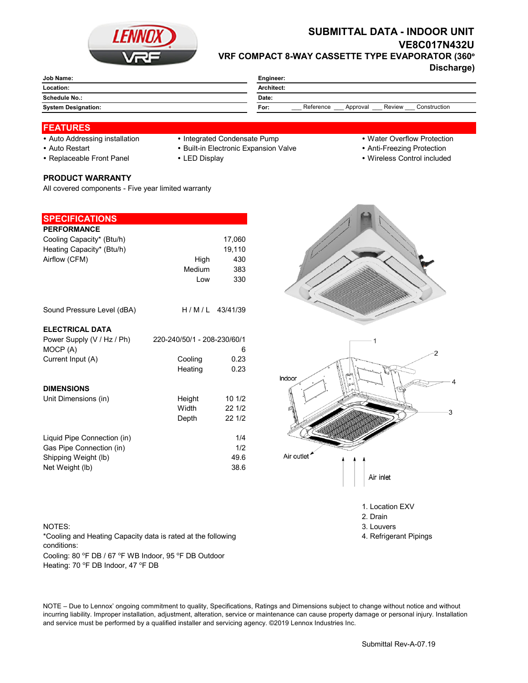

# **SUBMITTAL DATA - INDOOR UNIT VE8C017N432U VRF COMPACT 8-WAY CASSETTE TYPE EVAPORATOR (360°**

**Discharge)**

| Job Name:                  | Engineer:                                               |  |  |
|----------------------------|---------------------------------------------------------|--|--|
| Location:                  | Architect:                                              |  |  |
| Schedule No.:              | Date:                                                   |  |  |
| <b>System Designation:</b> | Reference<br>Review<br>Construction<br>Approval<br>For: |  |  |
|                            |                                                         |  |  |

### **FEATURES**

- Auto Addressing installation Integrated Condensate Pump Water Overflow Protection
- Auto Restart **Built-in Electronic Expansion Valve Anti-Freezing Protection** Anti-Freezing Protection
- Replaceable Front Panel LED Display Wireless Control included

# **PRODUCT WARRANTY**

All covered components - Five year limited warranty

| <b>SPECIFICATIONS</b>       |                             |                  |
|-----------------------------|-----------------------------|------------------|
| <b>PERFORMANCE</b>          |                             |                  |
| Cooling Capacity* (Btu/h)   |                             | 17,060           |
| Heating Capacity* (Btu/h)   |                             | 19,110           |
| Airflow (CFM)               | High                        | 430              |
|                             | Medium                      | 383              |
|                             | Low                         | 330              |
| Sound Pressure Level (dBA)  |                             | $H/M/L$ 43/41/39 |
| <b>ELECTRICAL DATA</b>      |                             |                  |
| Power Supply (V / Hz / Ph)  | 220-240/50/1 - 208-230/60/1 |                  |
| MOCP (A)                    |                             | 6                |
| Current Input (A)           | Cooling                     | 0.23             |
|                             | Heating                     | 0.23             |
| <b>DIMENSIONS</b>           |                             |                  |
| Unit Dimensions (in)        | Height                      | 101/2            |
|                             | Width                       | 22 1/2           |
|                             | Depth                       | 22 1/2           |
| Liquid Pipe Connection (in) |                             | 1/4              |
| Gas Pipe Connection (in)    |                             | 1/2              |
| Shipping Weight (lb)        |                             | 49.6             |
| Net Weight (lb)             |                             | 38.6             |

#### NOTES: 3. Louvers 3. Louvers 3. Louvers 3. Louvers 3. Louvers 3. Louvers 3. Louvers 3. Louvers 3. Louvers 3. Louvers 3. Louvers 3. Louvers 3. Louvers 3. Louvers 3. Louvers 3. Louvers 3. Louvers 3. Louvers 3. Louvers 3. Lou

Cooling: 80 °F DB / 67 °F WB Indoor, 95 °F DB Outdoor Heating: 70 °F DB Indoor, 47 °F DB \*Cooling and Heating Capacity data is rated at the following conditions:



1. Location EXV

- 2. Drain
- 
- 4. Refrigerant Pipings

NOTE – Due to Lennox' ongoing commitment to quality, Specifications, Ratings and Dimensions subject to change without notice and without incurring liability. Improper installation, adjustment, alteration, service or maintenance can cause property damage or personal injury. Installation and service must be performed by a qualified installer and servicing agency. ©2019 Lennox Industries Inc.